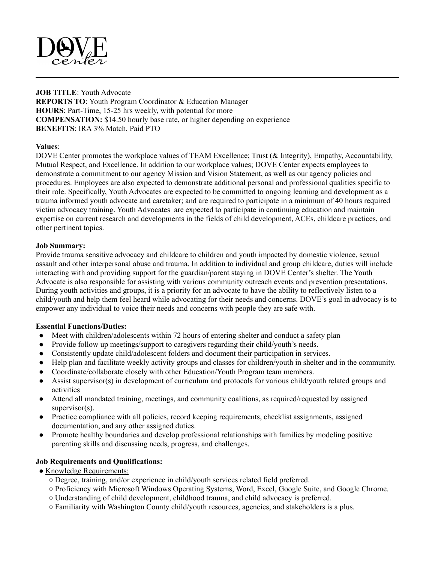

**JOB TITLE**: Youth Advocate **REPORTS TO**: Youth Program Coordinator & Education Manager **HOURS**: Part-Time, 15-25 hrs weekly, with potential for more **COMPENSATION:** \$14.50 hourly base rate, or higher depending on experience **BENEFITS**: IRA 3% Match, Paid PTO

## **Values**:

DOVE Center promotes the workplace values of TEAM Excellence; Trust (& Integrity), Empathy, Accountability, Mutual Respect, and Excellence. In addition to our workplace values; DOVE Center expects employees to demonstrate a commitment to our agency Mission and Vision Statement, as well as our agency policies and procedures. Employees are also expected to demonstrate additional personal and professional qualities specific to their role. Specifically, Youth Advocates are expected to be committed to ongoing learning and development as a trauma informed youth advocate and caretaker; and are required to participate in a minimum of 40 hours required victim advocacy training. Youth Advocates are expected to participate in continuing education and maintain expertise on current research and developments in the fields of child development, ACEs, childcare practices, and other pertinent topics.

## **Job Summary:**

Provide trauma sensitive advocacy and childcare to children and youth impacted by domestic violence, sexual assault and other interpersonal abuse and trauma. In addition to individual and group childcare, duties will include interacting with and providing support for the guardian/parent staying in DOVE Center's shelter. The Youth Advocate is also responsible for assisting with various community outreach events and prevention presentations. During youth activities and groups, it is a priority for an advocate to have the ability to reflectively listen to a child/youth and help them feel heard while advocating for their needs and concerns. DOVE's goal in advocacy is to empower any individual to voice their needs and concerns with people they are safe with.

## **Essential Functions/Duties:**

- Meet with children/adolescents within 72 hours of entering shelter and conduct a safety plan
- Provide follow up meetings/support to caregivers regarding their child/youth's needs.
- Consistently update child/adolescent folders and document their participation in services.
- Help plan and facilitate weekly activity groups and classes for children/youth in shelter and in the community.
- Coordinate/collaborate closely with other Education/Youth Program team members.
- Assist supervisor(s) in development of curriculum and protocols for various child/youth related groups and activities
- Attend all mandated training, meetings, and community coalitions, as required/requested by assigned supervisor(s).
- Practice compliance with all policies, record keeping requirements, checklist assignments, assigned documentation, and any other assigned duties.
- Promote healthy boundaries and develop professional relationships with families by modeling positive parenting skills and discussing needs, progress, and challenges.

# **Job Requirements and Qualifications:**

- Knowledge Requirements:
	- Degree, training, and/or experience in child/youth services related field preferred.
	- Proficiency with Microsoft Windows Operating Systems, Word, Excel, Google Suite, and Google Chrome.
	- Understanding of child development, childhood trauma, and child advocacy is preferred.
	- Familiarity with Washington County child/youth resources, agencies, and stakeholders is a plus.